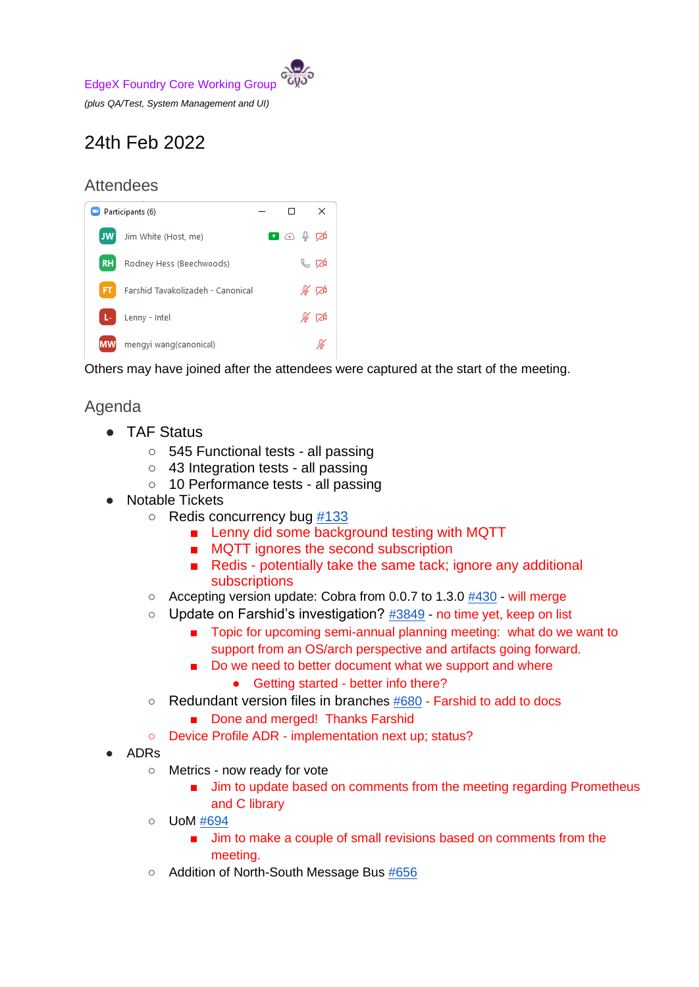EdgeX Foundry Core Working Group

*(plus QA/Test, System Management and UI)*

# 24th Feb 2022

## **Attendees**



Others may have joined after the attendees were captured at the start of the meeting.

# Agenda

- TAF Status
	- 545 Functional tests all passing
	- 43 Integration tests all passing
	- 10 Performance tests all passing
- **Notable Tickets** 
	- Redis concurrency bug [#133](https://github.com/edgexfoundry/go-mod-messaging/issues/133)
		- Lenny did some background testing with MQTT
		- MQTT ignores the second subscription
		- Redis potentially take the same tack; ignore any additional subscriptions
	- Accepting version update: Cobra from 0.0.7 to 1.3.0 [#430](https://github.com/edgexfoundry/edgex-cli/pull/430) will merge
	- Update on Farshid's investigation? [#3849](https://github.com/edgexfoundry/edgex-go/issues/3849) no time yet, keep on list
		- Topic for upcoming semi-annual planning meeting: what do we want to support from an OS/arch perspective and artifacts going forward.
		- Do we need to better document what we support and where
			- Getting started better info there?
	- $\circ$  Redundant version files in branches [#680](https://github.com/edgexfoundry/edgex-docs/issues/680) Farshid to add to docs
		- Done and merged! Thanks Farshid
	- Device Profile ADR implementation next up; status?
- **ADRs** 
	- Metrics now ready for vote
		- Jim to update based on comments from the meeting regarding Prometheus and C library
	- UoM [#694](https://github.com/edgexfoundry/edgex-docs/pull/694)
		- Jim to make a couple of small revisions based on comments from the meeting.
	- Addition of North-South Message Bus [#656](https://github.com/edgexfoundry/edgex-docs/pull/656)